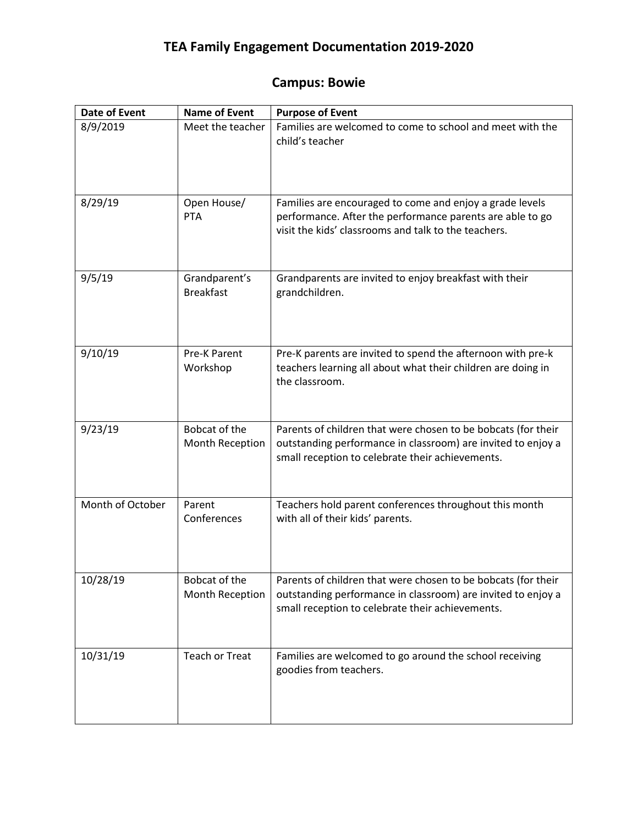## **TEA Family Engagement Documentation 2019-2020**

## **Campus: Bowie**

| Date of Event    | <b>Name of Event</b>              | <b>Purpose of Event</b>                                                                                                                                                           |
|------------------|-----------------------------------|-----------------------------------------------------------------------------------------------------------------------------------------------------------------------------------|
| 8/9/2019         | Meet the teacher                  | Families are welcomed to come to school and meet with the<br>child's teacher                                                                                                      |
| 8/29/19          | Open House/<br><b>PTA</b>         | Families are encouraged to come and enjoy a grade levels<br>performance. After the performance parents are able to go<br>visit the kids' classrooms and talk to the teachers.     |
| 9/5/19           | Grandparent's<br><b>Breakfast</b> | Grandparents are invited to enjoy breakfast with their<br>grandchildren.                                                                                                          |
| 9/10/19          | <b>Pre-K Parent</b><br>Workshop   | Pre-K parents are invited to spend the afternoon with pre-k<br>teachers learning all about what their children are doing in<br>the classroom.                                     |
| 9/23/19          | Bobcat of the<br>Month Reception  | Parents of children that were chosen to be bobcats (for their<br>outstanding performance in classroom) are invited to enjoy a<br>small reception to celebrate their achievements. |
| Month of October | Parent<br>Conferences             | Teachers hold parent conferences throughout this month<br>with all of their kids' parents.                                                                                        |
| 10/28/19         | Bobcat of the<br>Month Reception  | Parents of children that were chosen to be bobcats (for their<br>outstanding performance in classroom) are invited to enjoy a<br>small reception to celebrate their achievements. |
| 10/31/19         | <b>Teach or Treat</b>             | Families are welcomed to go around the school receiving<br>goodies from teachers.                                                                                                 |